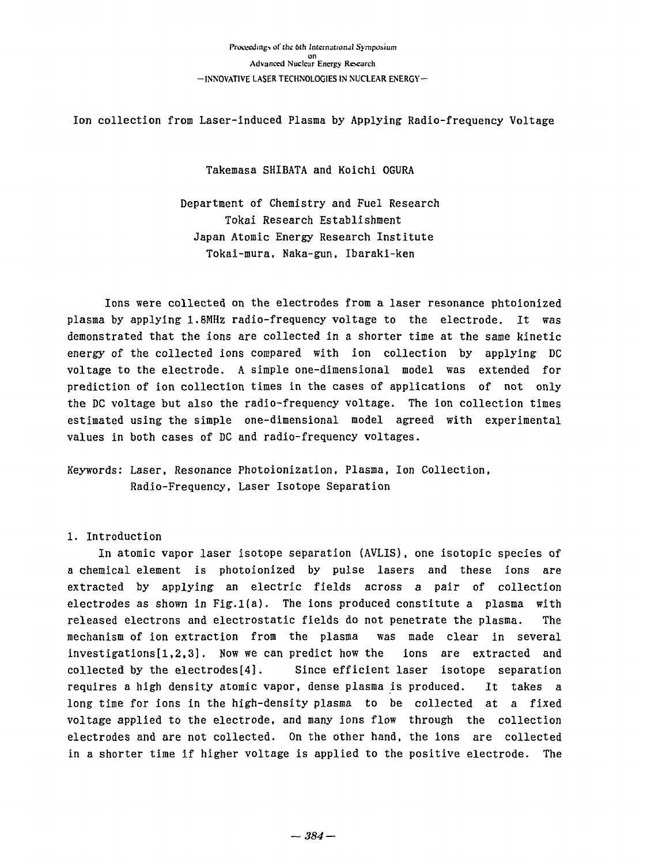Ion collection from Laser-induced Plasma by Applying Radio-frequency Voltage

Takemasa SHIBATA and Koichi OGURA Takemasa SHIBATA and Koichi OGURA

Department of Chemistry and Fuel Research Department of Chemistry and Fuel Research Tokai Research Establishment Tokai Research Establishment Japan Atomic Energy Research Institute Japan Atomic Energy Research Institute Tokai-mura, Naka-gun, Ibaraki-ken Tokai-mura, Naka-gun. Ibaraki-ken

Ions were collected on the electrodes from a laser resonance phtoionized Ions were collected on the electrodes from a laser resonance phtoionized plasma by applying 1.8MHz radio-frequency voltage to the electrode. It was plasma by applying 1.8MHz radio-frequency voltage to the electrode. It was demonstrated that the ions are collected in a shorter time at the same kinetic demonstrated that the ions are collected in a shorter time at the same kinetic energy of the collected ions compared with ion collection by applying DC energy of the collected ions compared with ion collection by applYing DC voltage to the electrode. A simple one-dimensional model was extended for voltage to the electrode. A simple one-dimensional model was extended for prediction of ion collection times in the cases of applications of not only prediction of ion collection times in the cases of applications of not only the DC voltage but also the radio-frequency voltage. The ion collection times estimated using the simple one-dimensional model agreed with experimental estimated using the simple one-dimensional model agreed with experimental values in both cases of DC and radio-frequency voltages.

Keywords: Laser, Resonance Photoionization, Plasma, Ion Collection, Keywords: Laser. Resonance Photoionization, Plasma, Ion Collection. Radio-Frequency, Laser Isotope Separation Radio-Frequency. Laser Isotope Separation

## 1. Introduction 1. Introduction

In atomic vapor laser isotope separation (AVLIS), one isotopic species of In atomic vapor laser isotope separation (AVLIS). one isotopic species of a chemical element is photoionized by pulse lasers and these ions are a chemical element is photoionized by pulse lasers and these ions are extracted by applying an electric fields across a pair of collection extracted by applying an electric fields across a pair of collection electrodes as shown in Fig.l(a). The ions produced constitute a plasma with electrodes as shown in Fig.l(a}. The ions produced constitute a plasma with released electrons and electrostatic fields do not penetrate the plasma. The mechanism of ion extraction from the plasma was made clear in several mechanism of ion extraction from the plasma was made clear in several investigations[1,2,3]. Now we can predict how the ions are extracted and collected by the electrodes[4]. Since efficient laser isotope separation collected by the electrodes[4]. Since efficient laser isotope separation requires a high density atomic vapor, dense plasma is produced. It takes a requires a high density atomic vapor, dense plasma is produced. It takes a<br>long time for ions in the high-density plasma to be collected at a fixed voltage applied to the electrode, and many ions flow through the collection voltage applied to the electrode. and many ions flow through the collection electrodes and are not collected. On the other hand, the ions are collected electrodes and are not collected. On the other hand, the ions are collected in a shorter time if higher voltage is applied to the positive electrode. The in a shorter time if higher voltage is applied to the positive electrode. The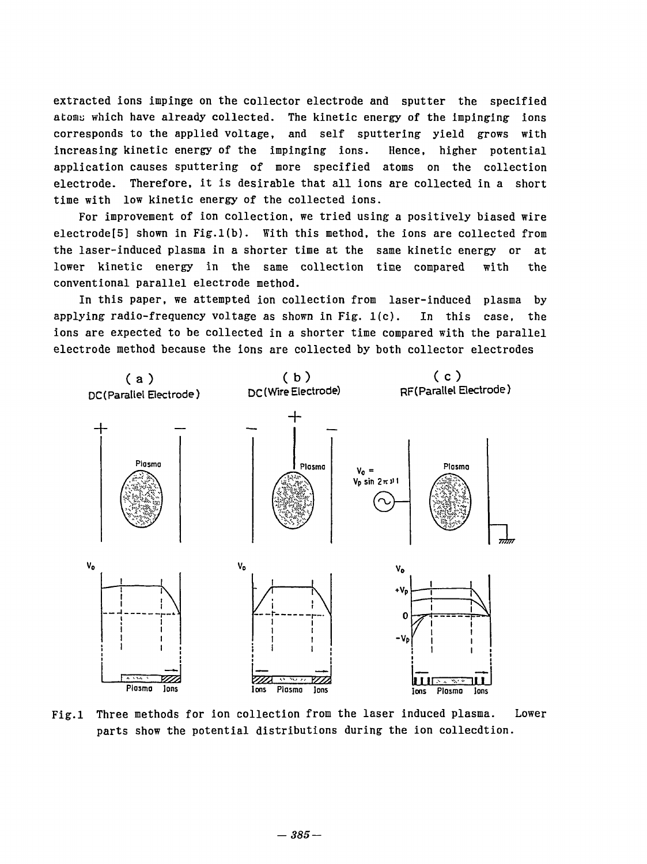extracted ions impinge on the collector electrode and sputter the specified extracted ions impinge on the collector electrode and sputter the specified atoms which have already collected. The kinetic energy of the impinging ions corresponds to the applied voltage, and self sputtering yield grows with corresponds to the applied voltage, and self sputtering yield grows with increasing kinetic energy of the impinging ions. Hence, higher potential increasing kinetic energy of the impinging ions. Hence, higher potential application causes sputtering of more specified atoms on the collection application causes sputtering of more specified atoms on the collection electrode. Therefore, it is desirable that all ions are collected in a short electrode. Therefore, it is desirable that all ions are collected in a short time with low kinetic energy of the collected ions. time with low kinetic energy of the collected ions.

For improvement of ion collection, we tried using a positively biased wire For improvement of ion collection, we tried using a positively biased wire electrode[5] shown in Fig.l(b). With this method, the ions are collected from electrode[5] shown in Fig.l(b). With this method, the ions are collected from the laser-induced plasma in a shorter time at the same kinetic energy or at lower kinetic energy in the same collection time compared with the conventional parallel electrode method. conventional parallel electrode method.

In this paper, we attempted ion collection from laser-induced plasma by 1n this paper, we attempted ion collection from laser-induced plasma by applying radio-frequency voltage as shown in Fig.  $1(c)$ . In this case, the ions are expected to be collected in a shorter time compared with the parallel electrode method because the ions are collected by both collector electrodes



Fig.l Three methods for ion collection from the laser induced plasma. Lower Fig.l Three methods for ion collection from the laser induced plasma. Lower parts show the potential distributions during the ion collecdtion. parts show the potential distributions during the ion collecdtion.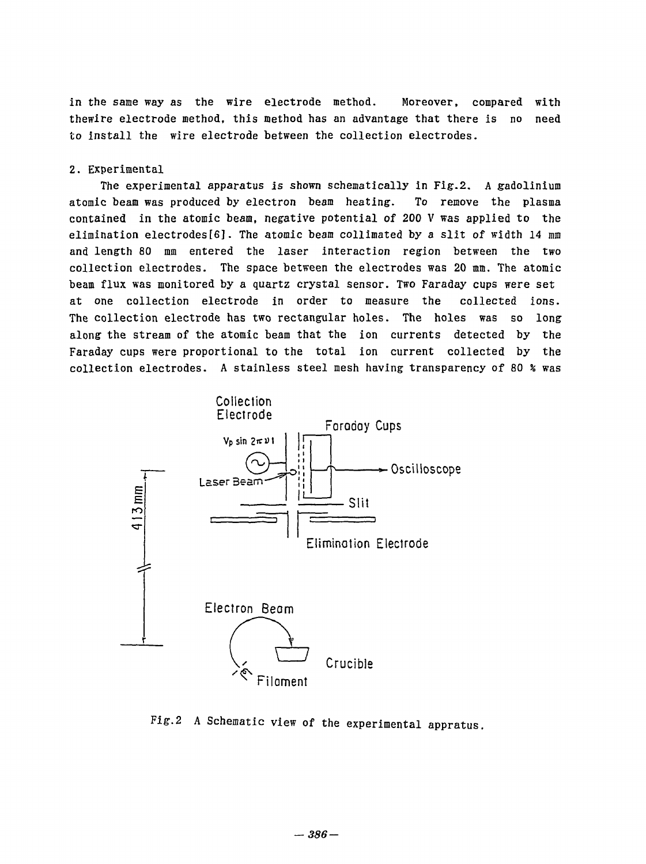in the same way as the wire electrode method. Moreover, compared with thewire electrode method, this method has an advantage that there is no need to install the wire electrode between the collection electrodes. to insta11 the wire electrode between the collection electrodes. compared with

## 2. Experimental 2. Experimental

The experimental apparatus is shown schematically in Fig.2. A gadolinium The experimental apparatus is shown 5chematically ln Fig.2. A gadollnium atomic beam was produced by electron beam heating. To remove the plasma atomic beam was produced by electron beam heating. To remove the plasma contained in the atomic beam, negative potential of 200 V was applied to the contained in the atomic beam. negative potentia1 of 200 V was applied to the elimination electrodes[6]. The atomic beam collimated by a slit of width *14* mm elimination electrodes[6]. The atomic beam co11imated by a 51it of width 14 mm and length 80 mm entered the laser interaction region between the two and length 80 mm entered the laser interaction region between the two collection electrodes. The space between the electrodes was 20 mm. The atomic collection electrodes. The space between the electrodes was 20 mm. The atomic beam flux was monitored by a quartz crystal sensor. Two Faraday cups were set beam flux was monitored by a quartz crystal sensor. Two Faraday cups were set at one collection electrode in order to measure the collected ions. at one collection electrode in order to measure the col1ected ions. The collection electrode has two rectangular holes. The holes was so long along the stream of the atomic beam that the ion currents detected by the along the stream of the atomic beam that the ion currents detected by the Faraday cups were proportional to the total ion current collected by the collection electrodes. A stainless steel mesh having transparency of 80 *%* was collection electrodes. A stainless steel mesh having transparency of 80 % was



Fig.2 A Schematic view of the experimental appratus, Fig.2 A Schematic view of the experimental appratus.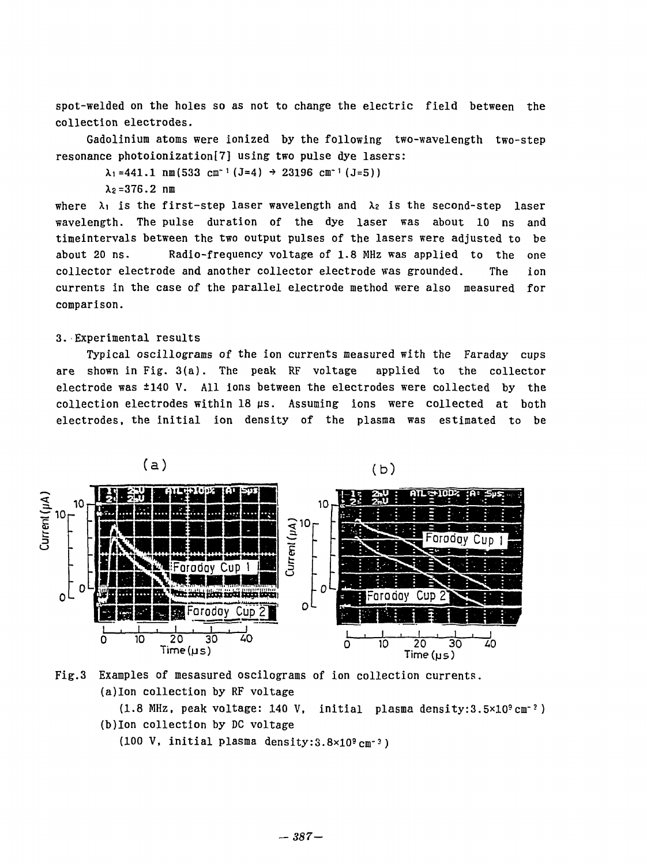spot-welded on the holes so as not to change the electric field between the spot-welded on the holes so as not to change the electric field between the collection electrodes. collection electrodes.

Gadolinium atoms were ionized by the following two-wavelength two-step Gadolinium atoms were ionized by the fOllowing two-wavelength two-step resonance photoionization[7] using two pulse dye lasers:

 $\lambda_1$ =441.1 nm(533 cm<sup>-1</sup> (J=4)  $\rightarrow$  23196 cm<sup>-1</sup> (J=5))

X2=376.2 nm λ2=376.2 nm

where  $\lambda_1$  is the first-step laser wavelength and  $\lambda_2$  is the second-step laser wavelength. The pulse duration of the dye laser was about 10 ns and wavelength. The pulse duration of the dye laser was about 10 ns and timeintervals between the two output pulses of the lasers were adjusted to be timeintervals between the two output pulses of the lasers were adjusted to be about 20 ns. Radio-frequency voltage of 1.8 MHz was applied to the one about 20 ns. Radio-frequency voltage of 1.8 MHz was app1ied to the one collector electrode and another collector electrode was grounded. The ion collector electrode and another collector electrode was grounded. The 10n currents in the case of the parallel electrode method were also measured for currents in the case of the parallel e1ectrode method were a1so measured for comparison. comparison.

## 3. Experimental results 3. . Experimental results

Typical oscillograms of the ion currents measured with the Faraday cups Typical oscillograms of the ion currents measured with the Faraday cups are shown in Fig. 3(a). The peak RF voltage applied to the collector are shown in Fig. 3(a). The peak RF voltage applied to the collector electrode was  $\pm 140$  V. All ions between the electrodes were collected by the collection electrodes within 18 us. Assuming ions were collected at both collection electrodes within 18μs. Assuming ions were collected at both electrodes, the initial ion density of the plasma was estimated to be



Fig.3 Examples of mesasured oscilograms of ion collection currents. Fig.3 Examples of mesasured oscilograms of ion collection currents. (a)Ion collection by RF voltage {a}Ion co11ection by RF voltage

(1.8 MHz. peak voltage: 140 V, initial plasma density:3.5xlo<sup>9</sup>cm"*- )*  (1.8 MHz, peak voltage: 140 V, initial p1asma density:3.5x109cm-:) (b)Ion collection by DC voltage {b}Ion collection by DC v01tage

(100 V, initial plasma density:3.8×10<sup>9</sup>cm<sup>-3</sup>)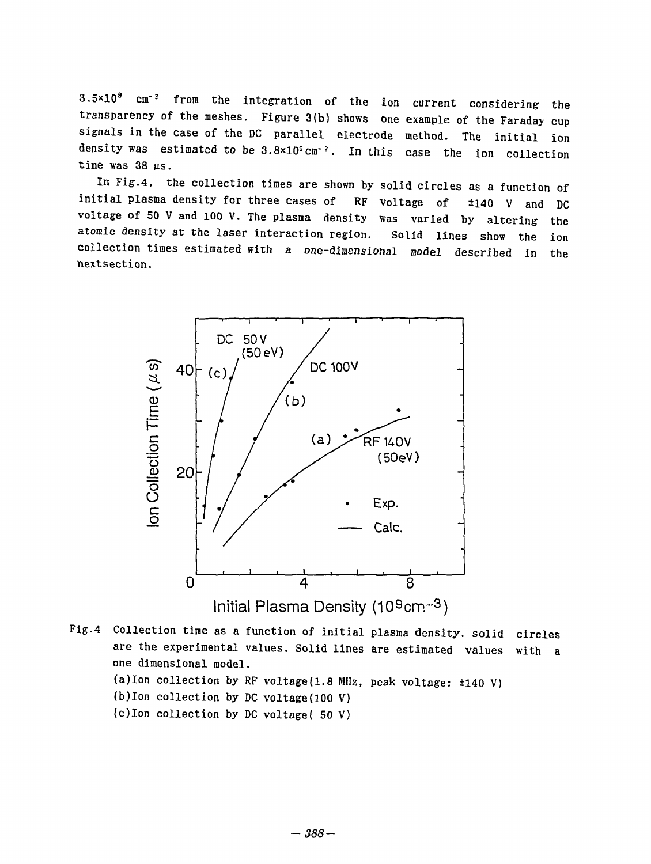3.5x10<sup>s</sup> cm-<sup>3</sup> from the integration of the ion current considering the 3.5xl09 cm-? from the integration of the ion current considerlng the transparency of the meshes. Figure 3(b) shows one example of the Faraday cup signals in the case of the DC parallel electrode method. The initial ion density was estimated to be  $3.8 \times 10^3$  cm<sup>-2</sup>. In this case the ion collection time was 38 us. time was 38μs.

In Fig.4, the collection times are shown by solid circles as a function of nFig.4, the collection times are shown by solid circles as a function of initial plasma density for three cases of RF voltage of  $\pm 140$  V and DC voltage of 50 V and 100 V. The plasma density was varied by altering the atomic density at the laser interaction region. Solid lines show the ion atomic density at the laser interaction region. Solid lines show the ion collection times estimated with a one-dimensional model described in the collection times estimated with a one-dimensional model described in the nextsection. nextsection.



Fig.4 Collection time as a function of initial plasma density, solid circles Fig.4 Collection time as a function of initial Plasma density. solid circles are the experimental values. Solid lines are estimated values with a are the experimental values. Solid lines are estimated values with a one dimensional model. one dimensional model. (a)Ion collection by RF voltage(1.8 MHz, peak voltage:  $\pm 140$  V) (b)Ion collection by DC voltage(100 V) (b)Ion collection by DC voltage(100 V) (c)Ion collection by DC voltage( 50 V) (c)lon collection by DC voltage( 50 V)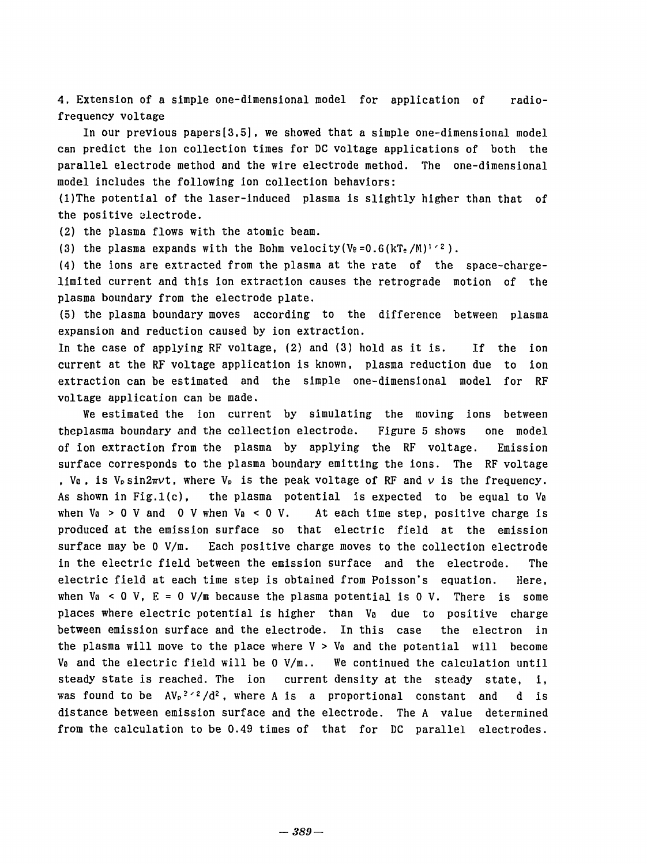4. Extension of a simple one-dimensional model for application of radio-4. Extenslon of a slmple one-dimensional model for applicatlon of radiofrequency voltage frequency voltage

In our previous papers[3,5], we showed that a simple one-dimensional model In our prevlous papers[35] , we showed that a simple one-dimensional model can predict the ion collection times for DC voltage applications of both the can predict the 10n collection times for DC voltage applications of both the parallel electrode method and the wire electrode method. The one-dimensional parallel electrode method and the w1re electrode method. The one-dimensional model includes the following ion collection behaviors: model includes the fOllowing ion collection behaviors:

(l)The potential of the laser-induced plasma is slightly higher than that of (l)The potential of the laser-induced plasma is slightly higher than that of the positive electrode.

(2) the plasma flows with the atomic beam. (2) the plasma flows with the atomic beam.

(3) the plasma expands with the Bohm velocity(Ve=0.6(kTe/M)<sup>1/2</sup>).

(4) the ions are extracted from the plasma at the rate of the space-chargelimited current and this ion extraction causes the retrograde motion of the limited current and this ion extraction causes the retrograde motion of the plasma boundary from the electrode plate. plasma boundary from the electrode plate.

(5) the plasma boundary moves according to the difference between plasma (5) the plasma boundary moves according to the difference between plasma expansion and reduction caused by ion extraction. expansion and reduction caused by ion extraction.

In the case of applying RF voltage, (2) and (3) hold as it is. If the ion In the case of applying RF voltage, (2) and (3) hold as it is. If the ion current at the RF voltage application is known, plasma reduction due to ion current at the RF voltage application is known, plasma reduction due to ion extraction can be estimated and the simple one-dimensional model for RF extraction can be estlmated and the simple one-dimensional model for RF voltage application can be made. voltage application can be made.

We estimated the ion current by simulating the moving ions between We estimated the ion current by simulating the moving ions between theplasma boundary and the collection electrode. Figure 5 shows one model theplasma boundary and the ccllection electrode. Figure 5 shows one model of ion extraction from the plasma by applying the RF voltage. Emission of ion extraction from the plasma by applying the RF voltage. Emission surface corresponds to the plasma boundary emitting the ions. The RF voltage , V<sub>0</sub>, is V<sub>P</sub>sin2πνt, where V<sub>P</sub> is the peak voltage of RF and *ν* is the frequency. As shown in Fig.1(c), the plasma potential is expected to be equal to Va As shown in Fig.l(c), the plasma potential is expected to be equal to Vo when Vo > 0 V and 0 V when Vo < 0 V. At each time step, positive charge is produced at the emission surface so that electric field at the emission produced at the emission surface so that electric field at the emission surface may be 0 V/m. Each positive charge moves to the collection electrode in the electric field between the emission surface and the electrode. The electric field at each time step is obtained from Poisson's equation. Here, electric field at each time step is obtained from Poisson's equation. Here, when  $V_0 < 0$  V,  $E = 0$  V/m because the plasma potential is 0 V. There is some places where electric potential is higher than V<sub>0</sub> due to positive charge between emission surface and the electrode. In this case the electron in between emission surface and the electrode. In this case the electron in the plasma will move to the place where  $V > V_0$  and the potential will become Va and the electric field will be 0 V/m.. We continued the calculation until Vo and the electric field will be 0 Vjm.. We continued the calculation until steady state is reached. The ion current density at the steady state, i, was found to be  $A V_P$ <sup>2,2</sup>/d<sup>2</sup>, where A is a proportional constant and d is distance between emission surface and the electrode. The A value determined distance between emission surface and the electrode. The A value determined from the calculation to be 0.49 times of that for DC parallel electrodes. from the calculation to be 0.49 times of that for DC parallel electrodes.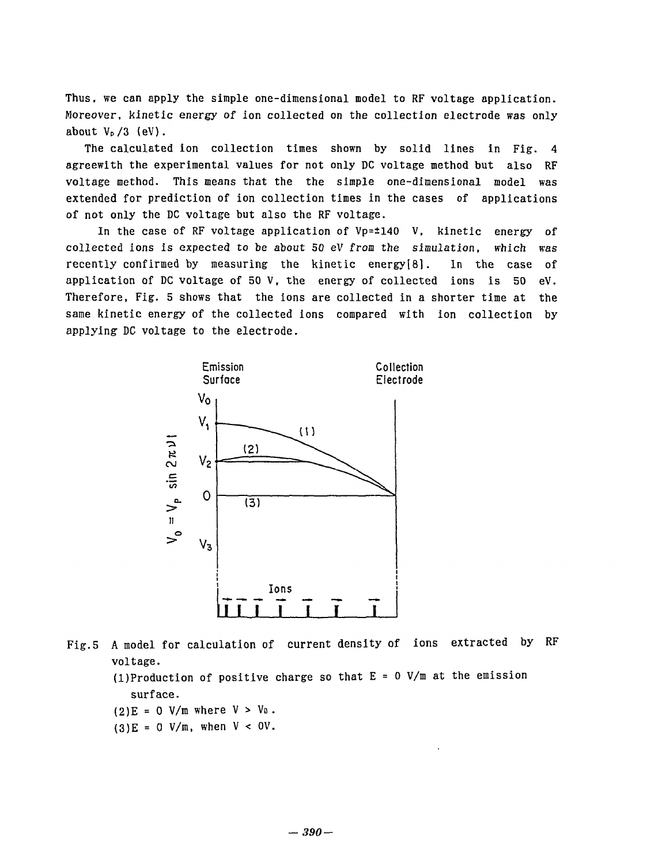Thus, we can apply the simple one-dimensional model to RF voltage application. Moreover, kinetic energy of ion collected on the collection electrode was only Moreover, kinet1c energy of 10n collected on the collect10n electrode was only about  $V_P/3$  (eV).

The calculated ion collection times shown by solid lines in Fig. 4 agreewith the experimental values for not only DC voltage method but also RF agreewith the exper1mental values for not only DC v01tage method but a1so RF voltage method. This means that the the simple one-dimensional model was voltage method. This means that the the simple one-dimensional model was extended for prediction of ion collection times in the cases of applications of not only the DC voltage but also the RF voltage.

In the case of RF voltage application of Vp=±140 V, kinetic energy of 1n the case of RF voltage app11cation of Vp=z140 V, kinetic energy of collected ions is expected to be about 50 eV from the simulation, which was collected 10ns 1s expected to be about 50 eV from the s1mulation, wh1ch was recently confirmed by measuring the kinetic energy[8]. In the case of application of DC voltage of 50 V, the energy of collected ions is 50 eV. application of DC voltage of 50 V, the energy of co1lected ions 1s 50 eV. Therefore, Fig. 5 shows that the ions are collected in a shorter time at the Therefore, Fig. 5 shows that the ions are collected in a shorter t1me at the same kinetic energy of the collected ions compared with ion collection by same kinetic energy of the col1ected ions compared with ion co1lection by applying DC voltage to the electrode. app1ying DC vo1tage to the e1ectrode.



Fig.5 A model for calculation of current density of ions extracted by RF Fig.5 A mode1 for ca1cu1ation of current density of 10n5 extracted by RF voltage. voltage.

(l)Production of positive charge so that E = 0 V/m at the emission (l)Production of positive charge so that E = 0 V/m at the emission surface. surface.

- $(2)E = 0$  V/m where  $V > V_0$ .
- $(3)E = 0$  V/m, when V < OV.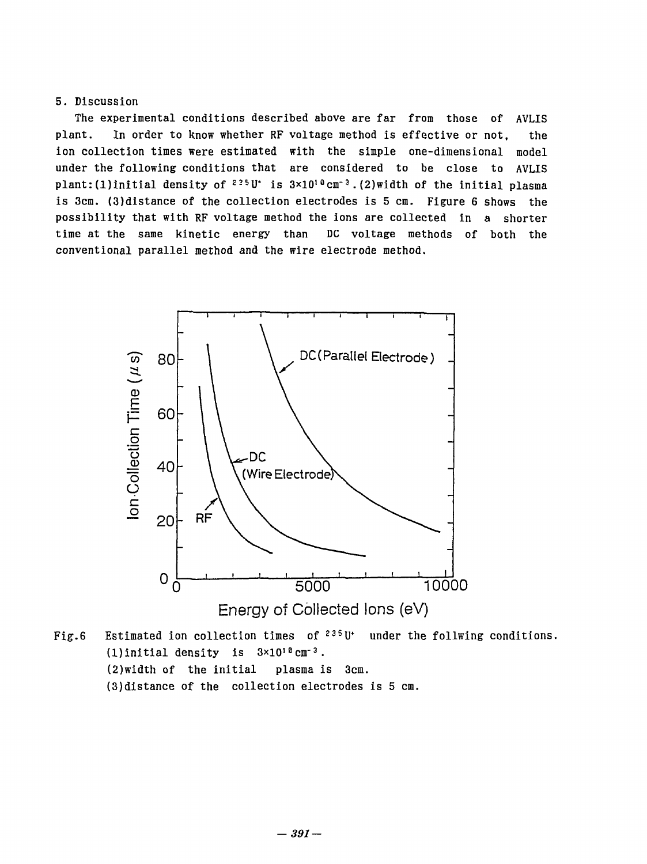## 5. Discussion 5. Discussion

The experimental conditions described above are far from those of AVLIS The experimental conditions described above are far from those of AVLIS plant. In order to know whether RF voltage method is effective or not, plant. In order to know whether RF voltage method is effective or not, the ion collection times were estimated with the simple one-dimensional model under the following conditions that are considered to be close to AVLIS plant:(1)initial density of <sup>225</sup>U<sup>\*</sup> is 3×10<sup>10</sup>cm<sup>-3</sup>.(2)width of the initial plasma the model is 3cm. (3)distance of the collection electrodes is 5 cm. Figure 6 shows the possibility that with RF voltage method the ions are collected in a shorter time at the same kinetic energy than DC voltage methods of both the conventional parallel method and the wire electrode method. conventional parallel method and the wire electrode method.



Fig.6 Estimated ion collection times of  $235^{\circ}$ U<sup>\*</sup> under the follwing conditions.  $(1)$ initial density is  $3\times10^{10}$  cm<sup>-3</sup>. (2)width of the initial plasma is 3cm. (2)width of the 1nitial plasma is 3cm. (3)distance of the collection electrodes is 5 cm (3)distance of the collection electrode5 i5 5 cm.